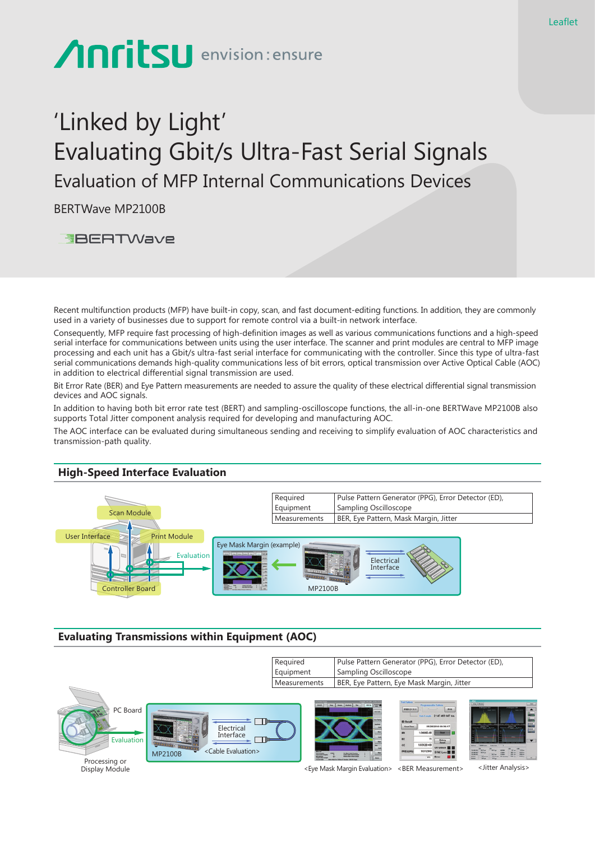# Anritsu envision: ensure

## 'Linked by Light' Evaluating Gbit/s Ultra-Fast Serial Signals Evaluation of MFP Internal Communications Devices

BERTWave MP2100B

**EBERTWave** 

Recent multifunction products (MFP) have built-in copy, scan, and fast document-editing functions. In addition, they are commonly used in a variety of businesses due to support for remote control via a built-in network interface.

Consequently, MFP require fast processing of high-definition images as well as various communications functions and a high-speed serial interface for communications between units using the user interface. The scanner and print modules are central to MFP image processing and each unit has a Gbit/s ultra-fast serial interface for communicating with the controller. Since this type of ultra-fast serial communications demands high-quality communications less of bit errors, optical transmission over Active Optical Cable (AOC) in addition to electrical differential signal transmission are used.

Bit Error Rate (BER) and Eye Pattern measurements are needed to assure the quality of these electrical differential signal transmission devices and AOC signals.

In addition to having both bit error rate test (BERT) and sampling-oscilloscope functions, the all-in-one BERTWave MP2100B also supports Total Jitter component analysis required for developing and manufacturing AOC.

The AOC interface can be evaluated during simultaneous sending and receiving to simplify evaluation of AOC characteristics and transmission-path quality.

### **High-Speed Interface Evaluation**



#### **Evaluating Transmissions within Equipment (AOC)**